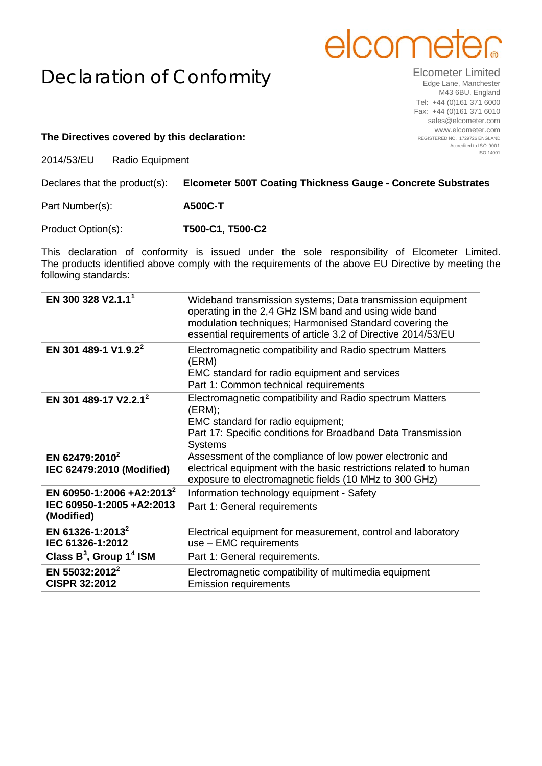## elcome

## Declaration of Conformity

Elcometer Limited Edge Lane, Manchester M43 6BU. England Tel: +44 (0)161 371 6000 Fax: +44 (0)161 371 6010 sales@elcometer.com www.elcometer.com REGISTERED NO. 1729726 ENGLAND Accredited to ISO 9001 ISO 14001

## **The Directives covered by this declaration:**

2014/53/EU Radio Equipment

| Declares that the product(s): | <b>Elcometer 500T Coating Thickness Gauge - Concrete Substrates</b> |  |
|-------------------------------|---------------------------------------------------------------------|--|
|                               |                                                                     |  |

Part Number(s): **A500C-T**

Product Option(s): **T500-C1, T500-C2**

This declaration of conformity is issued under the sole responsibility of Elcometer Limited. The products identified above comply with the requirements of the above EU Directive by meeting the following standards:

| EN 300 328 V2.1.1 <sup>1</sup>                                                             | Wideband transmission systems; Data transmission equipment<br>operating in the 2,4 GHz ISM band and using wide band<br>modulation techniques; Harmonised Standard covering the<br>essential requirements of article 3.2 of Directive 2014/53/EU |
|--------------------------------------------------------------------------------------------|-------------------------------------------------------------------------------------------------------------------------------------------------------------------------------------------------------------------------------------------------|
| EN 301 489-1 V1.9.2 <sup>2</sup>                                                           | Electromagnetic compatibility and Radio spectrum Matters<br>(ERM)<br>EMC standard for radio equipment and services<br>Part 1: Common technical requirements                                                                                     |
| EN 301 489-17 V2.2.1 <sup>2</sup>                                                          | Electromagnetic compatibility and Radio spectrum Matters<br>$(ERM)$ ;<br>EMC standard for radio equipment;<br>Part 17: Specific conditions for Broadband Data Transmission<br><b>Systems</b>                                                    |
| EN 62479:2010 <sup>2</sup><br>IEC 62479:2010 (Modified)                                    | Assessment of the compliance of low power electronic and<br>electrical equipment with the basic restrictions related to human<br>exposure to electromagnetic fields (10 MHz to 300 GHz)                                                         |
| EN 60950-1:2006 +A2:2013 <sup>2</sup><br>IEC 60950-1:2005 +A2:2013<br>(Modified)           | Information technology equipment - Safety<br>Part 1: General requirements                                                                                                                                                                       |
| EN 61326-1:2013 <sup>2</sup><br>IEC 61326-1:2012<br>Class $B^3$ , Group 1 <sup>4</sup> ISM | Electrical equipment for measurement, control and laboratory<br>use - EMC requirements<br>Part 1: General requirements.                                                                                                                         |
| EN 55032:2012 <sup>2</sup><br><b>CISPR 32:2012</b>                                         | Electromagnetic compatibility of multimedia equipment<br><b>Emission requirements</b>                                                                                                                                                           |